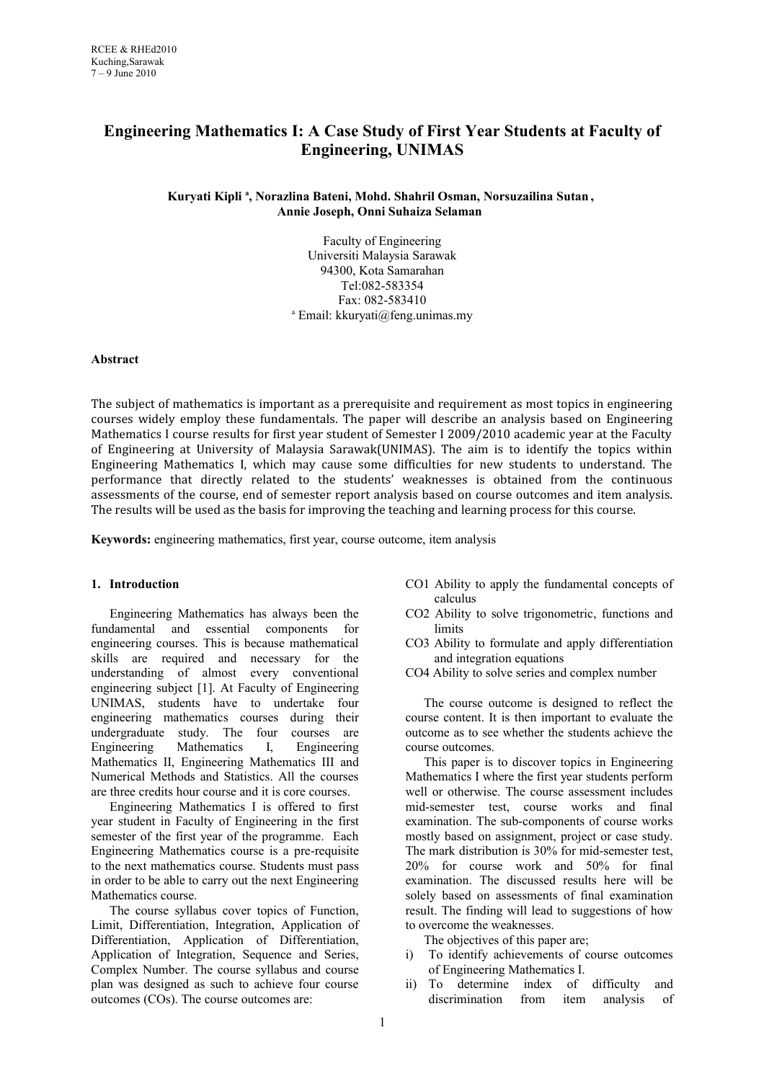# **Engineering Mathematics I: A Case Study of First Year Students at Faculty of Engineering, UNIMAS**

**Kuryati Kipli <sup>a</sup> , Norazlina Bateni, Mohd. Shahril Osman, Norsuzailina Sutan, Annie Joseph, Onni Suhaiza Selaman**

> Faculty of Engineering Universiti Malaysia Sarawak 94300, Kota Samarahan Tel:082-583354 Fax: 082-583410 a Email: kkuryati@feng.unimas.my

### **Abstract**

The subject of mathematics is important as a prerequisite and requirement as most topics in engineering courses widely employ these fundamentals. The paper will describe an analysis based on Engineering Mathematics I course results for first year student of Semester I 2009/2010 academic year at the Faculty of Engineering at University of Malaysia Sarawak(UNIMAS). The aim is to identify the topics within Engineering Mathematics I, which may cause some difficulties for new students to understand. The performance that directly related to the students' weaknesses is obtained from the continuous assessments of the course, end of semester report analysis based on course outcomes and item analysis. The results will be used as the basis for improving the teaching and learning process for this course.

**Keywords:** engineering mathematics, first year, course outcome, item analysis

### **1. Introduction**

Engineering Mathematics has always been the fundamental and essential components for engineering courses. This is because mathematical skills are required and necessary for the understanding of almost every conventional engineering subject [1]. At Faculty of Engineering UNIMAS, students have to undertake four engineering mathematics courses during their undergraduate study. The four courses are Engineering Mathematics I, Engineering Mathematics II, Engineering Mathematics III and Numerical Methods and Statistics. All the courses are three credits hour course and it is core courses.

Engineering Mathematics I is offered to first year student in Faculty of Engineering in the first semester of the first year of the programme. Each Engineering Mathematics course is a pre-requisite to the next mathematics course. Students must pass in order to be able to carry out the next Engineering Mathematics course.

The course syllabus cover topics of Function, Limit, Differentiation, Integration, Application of Differentiation, Application of Differentiation, Application of Integration, Sequence and Series, Complex Number. The course syllabus and course plan was designed as such to achieve four course outcomes (COs). The course outcomes are:

- CO1 Ability to apply the fundamental concepts of calculus
- CO2 Ability to solve trigonometric, functions and limits
- CO3 Ability to formulate and apply differentiation and integration equations
- CO4 Ability to solve series and complex number

The course outcome is designed to reflect the course content. It is then important to evaluate the outcome as to see whether the students achieve the course outcomes.

This paper is to discover topics in Engineering Mathematics I where the first year students perform well or otherwise. The course assessment includes mid-semester test, course works and final examination. The sub-components of course works mostly based on assignment, project or case study. The mark distribution is 30% for mid-semester test, 20% for course work and 50% for final examination. The discussed results here will be solely based on assessments of final examination result. The finding will lead to suggestions of how to overcome the weaknesses.

The objectives of this paper are;

- i) To identify achievements of course outcomes of Engineering Mathematics I.
- ii) To determine index of difficulty and discrimination from item analysis of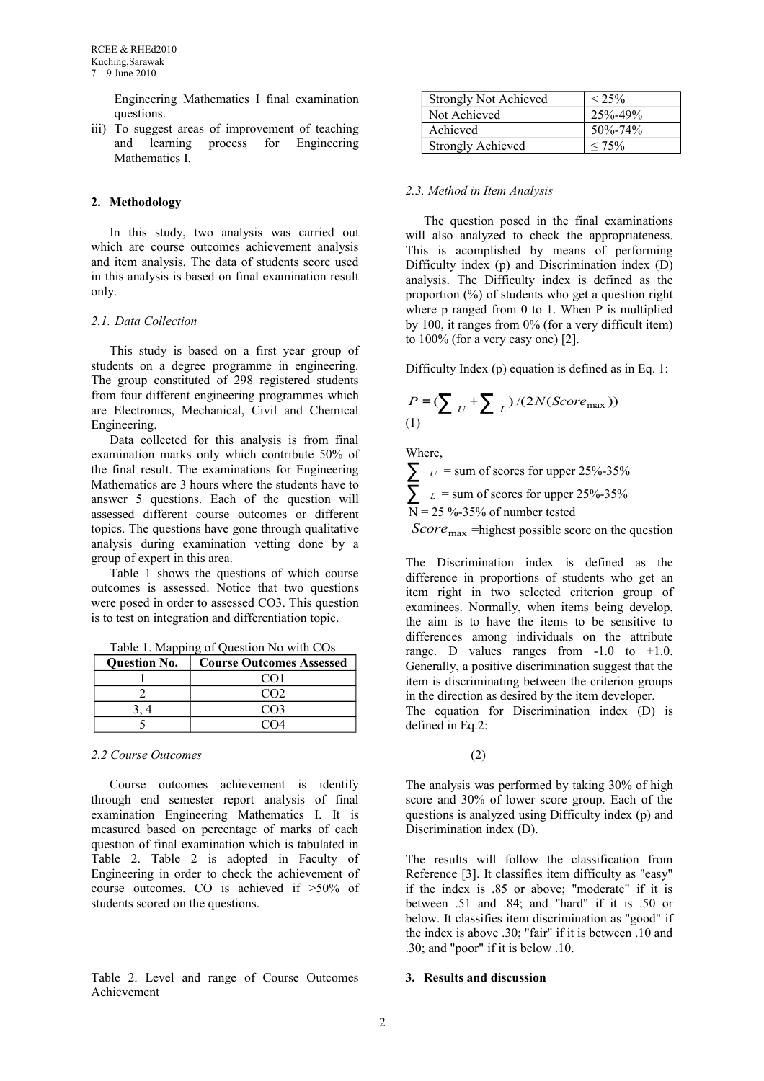Engineering Mathematics I final examination questions.

iii) To suggest areas of improvement of teaching and learning process for Engineering Mathematics I.

## **2. Methodology**

In this study, two analysis was carried out which are course outcomes achievement analysis and item analysis. The data of students score used in this analysis is based on final examination result only.

### *2.1. Data Collection*

This study is based on a first year group of students on a degree programme in engineering. The group constituted of 298 registered students from four different engineering programmes which are Electronics, Mechanical, Civil and Chemical Engineering.

Data collected for this analysis is from final examination marks only which contribute 50% of the final result. The examinations for Engineering Mathematics are 3 hours where the students have to answer 5 questions. Each of the question will assessed different course outcomes or different topics. The questions have gone through qualitative analysis during examination vetting done by a group of expert in this area.

Table 1 shows the questions of which course outcomes is assessed. Notice that two questions were posed in order to assessed CO3. This question is to test on integration and differentiation topic.

Table 1. Mapping of Question No with COs

| <b>Ouestion No.</b> | <b>Course Outcomes Assessed</b> |
|---------------------|---------------------------------|
|                     |                                 |
|                     | നാ                              |
|                     | നദ                              |
|                     |                                 |

### *2.2 Course Outcomes*

Course outcomes achievement is identify through end semester report analysis of final examination Engineering Mathematics I. It is measured based on percentage of marks of each question of final examination which is tabulated in Table 2. Table 2 is adopted in Faculty of Engineering in order to check the achievement of course outcomes. CO is achieved if >50% of students scored on the questions.

Table 2. Level and range of Course Outcomes Achievement

| <b>Strongly Not Achieved</b> | $< 25\%$      |  |
|------------------------------|---------------|--|
| Not Achieved                 | $25% - 49%$   |  |
| Achieved                     | $50\% - 74\%$ |  |
| <b>Strongly Achieved</b>     | $< 75\%$      |  |

### *2.3. Method in Item Analysis*

The question posed in the final examinations will also analyzed to check the appropriateness. This is acomplished by means of performing Difficulty index (p) and Discrimination index (D) analysis. The Difficulty index is defined as the proportion (%) of students who get a question right where p ranged from 0 to 1. When P is multiplied by 100, it ranges from 0% (for a very difficult item) to 100% (for a very easy one) [2].

Difficulty Index (p) equation is defined as in Eq. 1:

$$
P = \left(\sum_{U} + \sum_{L}\right) / (2N(Score_{\text{max}}))
$$
\n(1)

Where,

 $\sum$  *U* = sum of scores for upper 25%-35%  $\sum_{L}$  = sum of scores for upper 25%-35%  $N = 25 \% - 35%$  of number tested

*Score*<sub>max</sub> =highest possible score on the question

The Discrimination index is defined as the difference in proportions of students who get an item right in two selected criterion group of examinees. Normally, when items being develop, the aim is to have the items to be sensitive to differences among individuals on the attribute range. D values ranges from  $-1.0$  to  $+1.0$ . Generally, a positive discrimination suggest that the item is discriminating between the criterion groups in the direction as desired by the item developer.

The equation for Discrimination index (D) is defined in Eq.2:

(2)

The analysis was performed by taking 30% of high score and 30% of lower score group. Each of the questions is analyzed using Difficulty index (p) and Discrimination index (D).

The results will follow the classification from Reference [3]. It classifies item difficulty as "easy" if the index is .85 or above; "moderate" if it is between .51 and .84; and "hard" if it is .50 or below. It classifies item discrimination as "good" if the index is above .30; "fair" if it is between .10 and .30; and "poor" if it is below .10.

# **3. Results and discussion**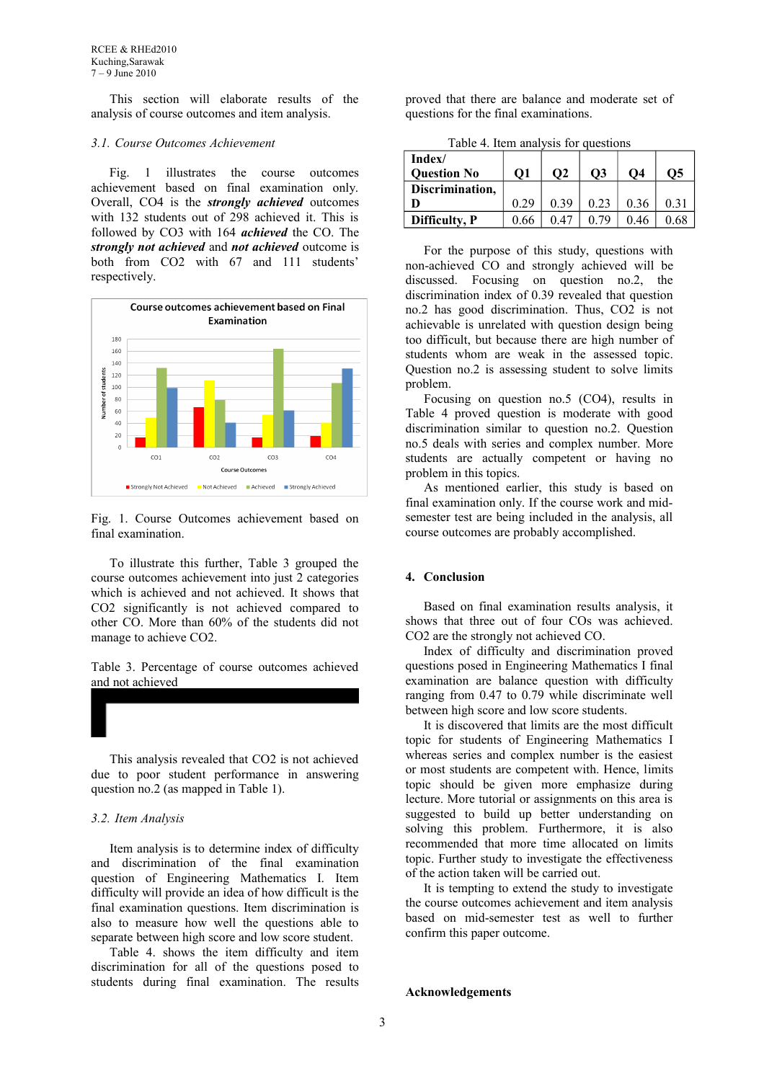This section will elaborate results of the analysis of course outcomes and item analysis.

#### *3.1. Course Outcomes Achievement*

Fig. 1 illustrates the course outcomes achievement based on final examination only. Overall, CO4 is the *strongly achieved* outcomes with 132 students out of 298 achieved it. This is followed by CO3 with 164 *achieved* the CO. The *strongly not achieved* and *not achieved* outcome is both from CO2 with 67 and 111 students' respectively.



Fig. 1. Course Outcomes achievement based on final examination.

To illustrate this further, Table 3 grouped the course outcomes achievement into just 2 categories which is achieved and not achieved. It shows that CO2 significantly is not achieved compared to other CO. More than 60% of the students did not manage to achieve CO2.

Table 3. Percentage of course outcomes achieved and not achieved

This analysis revealed that CO2 is not achieved due to poor student performance in answering question no.2 (as mapped in Table 1).

#### *3.2. Item Analysis*

Item analysis is to determine index of difficulty and discrimination of the final examination question of Engineering Mathematics I. Item difficulty will provide an idea of how difficult is the final examination questions. Item discrimination is also to measure how well the questions able to separate between high score and low score student.

Table 4. shows the item difficulty and item discrimination for all of the questions posed to students during final examination. The results proved that there are balance and moderate set of questions for the final examinations.

Table 4. Item analysis for questions

| Index/<br><b>Question No</b> | <b>O1</b> | $\Omega$ | О3   | О4   | $\overline{O5}$ |
|------------------------------|-----------|----------|------|------|-----------------|
| Discrimination,              |           |          |      |      |                 |
|                              | 0.29      | 0.39     | 0.23 | 0.36 |                 |
| Difficulty, P                | 0.66      |          |      | 0.46 |                 |

For the purpose of this study, questions with non-achieved CO and strongly achieved will be discussed. Focusing on question no.2, the discrimination index of 0.39 revealed that question no.2 has good discrimination. Thus, CO2 is not achievable is unrelated with question design being too difficult, but because there are high number of students whom are weak in the assessed topic. Question no.2 is assessing student to solve limits problem.

Focusing on question no.5 (CO4), results in Table 4 proved question is moderate with good discrimination similar to question no.2. Question no.5 deals with series and complex number. More students are actually competent or having no problem in this topics.

As mentioned earlier, this study is based on final examination only. If the course work and midsemester test are being included in the analysis, all course outcomes are probably accomplished.

### **4. Conclusion**

Based on final examination results analysis, it shows that three out of four COs was achieved. CO2 are the strongly not achieved CO.

Index of difficulty and discrimination proved questions posed in Engineering Mathematics I final examination are balance question with difficulty ranging from 0.47 to 0.79 while discriminate well between high score and low score students.

It is discovered that limits are the most difficult topic for students of Engineering Mathematics I whereas series and complex number is the easiest or most students are competent with. Hence, limits topic should be given more emphasize during lecture. More tutorial or assignments on this area is suggested to build up better understanding on solving this problem. Furthermore, it is also recommended that more time allocated on limits topic. Further study to investigate the effectiveness of the action taken will be carried out.

It is tempting to extend the study to investigate the course outcomes achievement and item analysis based on mid-semester test as well to further confirm this paper outcome.

#### **Acknowledgements**